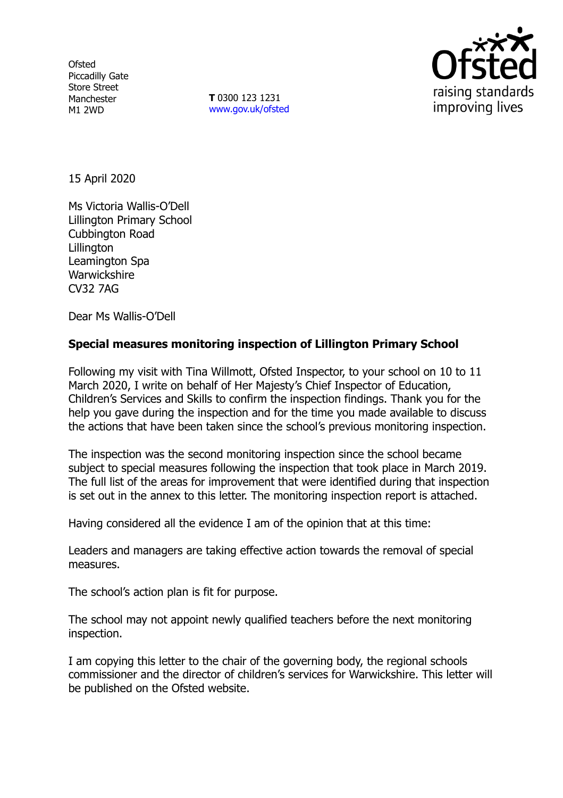**Ofsted** Piccadilly Gate Store Street Manchester M1 2WD

**T** 0300 123 1231 [www.gov.uk/ofsted](http://www.gov.uk/ofsted)



15 April 2020

Ms Victoria Wallis-O'Dell Lillington Primary School Cubbington Road Lillington Leamington Spa **Warwickshire** CV32 7AG

Dear Ms Wallis-O'Dell

# **Special measures monitoring inspection of Lillington Primary School**

Following my visit with Tina Willmott, Ofsted Inspector, to your school on 10 to 11 March 2020, I write on behalf of Her Majesty's Chief Inspector of Education, Children's Services and Skills to confirm the inspection findings. Thank you for the help you gave during the inspection and for the time you made available to discuss the actions that have been taken since the school's previous monitoring inspection.

The inspection was the second monitoring inspection since the school became subject to special measures following the inspection that took place in March 2019. The full list of the areas for improvement that were identified during that inspection is set out in the annex to this letter. The monitoring inspection report is attached.

Having considered all the evidence I am of the opinion that at this time:

Leaders and managers are taking effective action towards the removal of special measures.

The school's action plan is fit for purpose.

The school may not appoint newly qualified teachers before the next monitoring inspection.

I am copying this letter to the chair of the governing body, the regional schools commissioner and the director of children's services for Warwickshire. This letter will be published on the Ofsted website.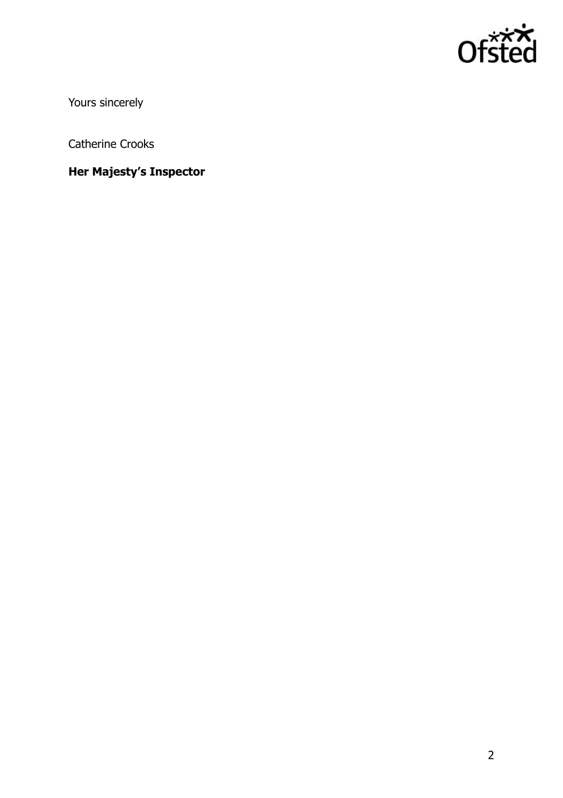

Yours sincerely

Catherine Crooks

**Her Majesty's Inspector**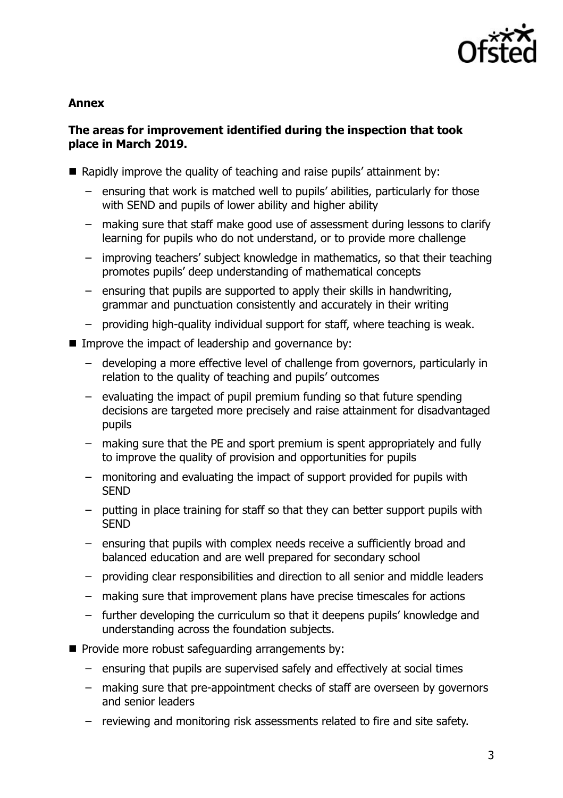

### **Annex**

# **The areas for improvement identified during the inspection that took place in March 2019.**

- Rapidly improve the quality of teaching and raise pupils' attainment by:
	- ensuring that work is matched well to pupils' abilities, particularly for those with SEND and pupils of lower ability and higher ability
	- making sure that staff make good use of assessment during lessons to clarify learning for pupils who do not understand, or to provide more challenge
	- improving teachers' subject knowledge in mathematics, so that their teaching promotes pupils' deep understanding of mathematical concepts
	- ensuring that pupils are supported to apply their skills in handwriting, grammar and punctuation consistently and accurately in their writing
	- providing high-quality individual support for staff, where teaching is weak.
- Improve the impact of leadership and governance by:
	- developing a more effective level of challenge from governors, particularly in relation to the quality of teaching and pupils' outcomes
	- evaluating the impact of pupil premium funding so that future spending decisions are targeted more precisely and raise attainment for disadvantaged pupils
	- making sure that the PE and sport premium is spent appropriately and fully to improve the quality of provision and opportunities for pupils
	- monitoring and evaluating the impact of support provided for pupils with **SEND**
	- putting in place training for staff so that they can better support pupils with **SFND**
	- ensuring that pupils with complex needs receive a sufficiently broad and balanced education and are well prepared for secondary school
	- providing clear responsibilities and direction to all senior and middle leaders
	- making sure that improvement plans have precise timescales for actions
	- further developing the curriculum so that it deepens pupils' knowledge and understanding across the foundation subjects.
- $\blacksquare$  Provide more robust safeguarding arrangements by:
	- ensuring that pupils are supervised safely and effectively at social times
	- making sure that pre-appointment checks of staff are overseen by governors and senior leaders
	- reviewing and monitoring risk assessments related to fire and site safety.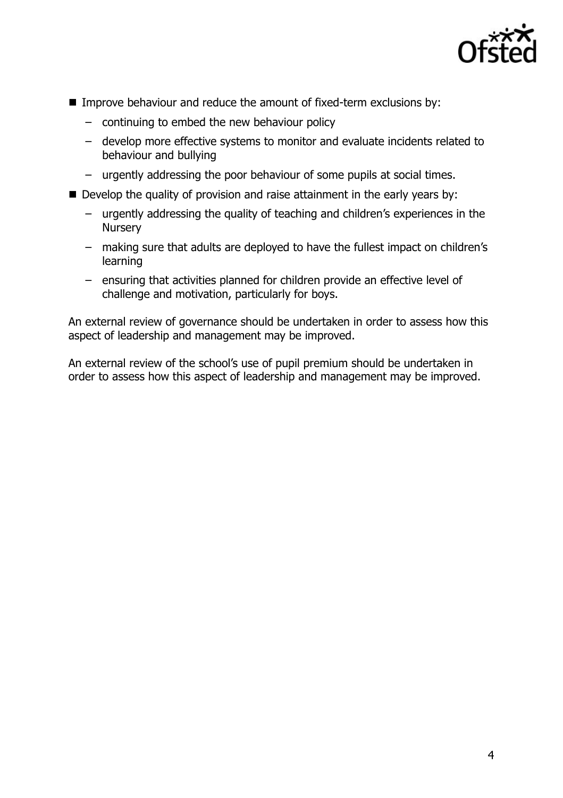

- Improve behaviour and reduce the amount of fixed-term exclusions by:
	- continuing to embed the new behaviour policy
	- develop more effective systems to monitor and evaluate incidents related to behaviour and bullying
	- urgently addressing the poor behaviour of some pupils at social times.
- Develop the quality of provision and raise attainment in the early years by:
	- urgently addressing the quality of teaching and children's experiences in the **Nursery**
	- making sure that adults are deployed to have the fullest impact on children's learning
	- ensuring that activities planned for children provide an effective level of challenge and motivation, particularly for boys.

An external review of governance should be undertaken in order to assess how this aspect of leadership and management may be improved.

An external review of the school's use of pupil premium should be undertaken in order to assess how this aspect of leadership and management may be improved.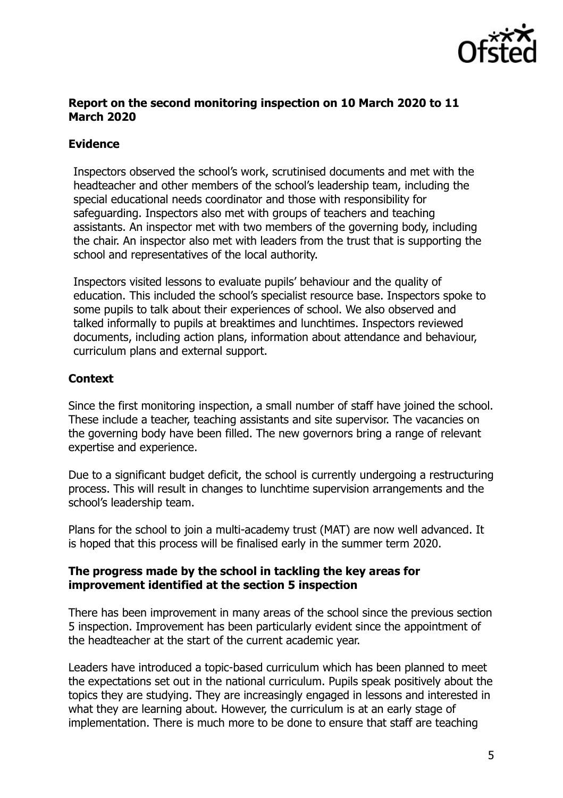

#### **Report on the second monitoring inspection on 10 March 2020 to 11 March 2020**

# **Evidence**

Inspectors observed the school's work, scrutinised documents and met with the headteacher and other members of the school's leadership team, including the special educational needs coordinator and those with responsibility for safeguarding. Inspectors also met with groups of teachers and teaching assistants. An inspector met with two members of the governing body, including the chair. An inspector also met with leaders from the trust that is supporting the school and representatives of the local authority.

Inspectors visited lessons to evaluate pupils' behaviour and the quality of education. This included the school's specialist resource base. Inspectors spoke to some pupils to talk about their experiences of school. We also observed and talked informally to pupils at breaktimes and lunchtimes. Inspectors reviewed documents, including action plans, information about attendance and behaviour, curriculum plans and external support.

# **Context**

Since the first monitoring inspection, a small number of staff have joined the school. These include a teacher, teaching assistants and site supervisor. The vacancies on the governing body have been filled. The new governors bring a range of relevant expertise and experience.

Due to a significant budget deficit, the school is currently undergoing a restructuring process. This will result in changes to lunchtime supervision arrangements and the school's leadership team.

Plans for the school to join a multi-academy trust (MAT) are now well advanced. It is hoped that this process will be finalised early in the summer term 2020.

# **The progress made by the school in tackling the key areas for improvement identified at the section 5 inspection**

There has been improvement in many areas of the school since the previous section 5 inspection. Improvement has been particularly evident since the appointment of the headteacher at the start of the current academic year.

Leaders have introduced a topic-based curriculum which has been planned to meet the expectations set out in the national curriculum. Pupils speak positively about the topics they are studying. They are increasingly engaged in lessons and interested in what they are learning about. However, the curriculum is at an early stage of implementation. There is much more to be done to ensure that staff are teaching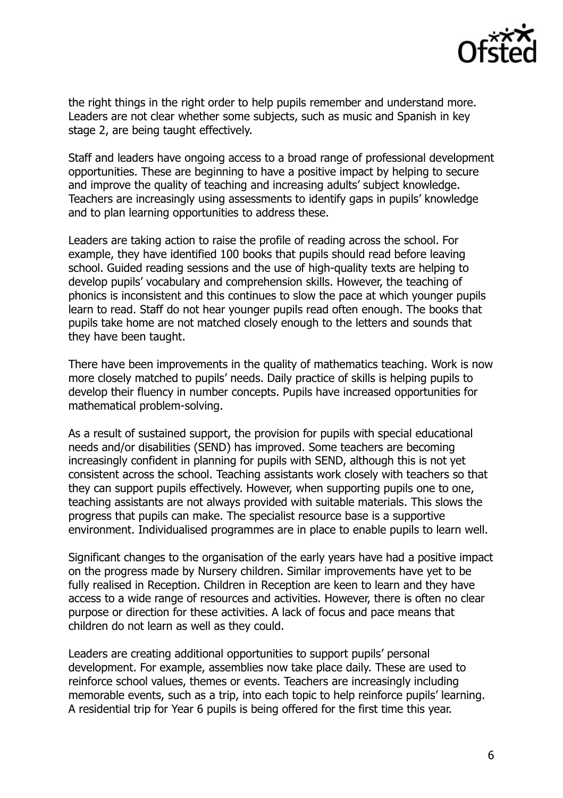

the right things in the right order to help pupils remember and understand more. Leaders are not clear whether some subjects, such as music and Spanish in key stage 2, are being taught effectively.

Staff and leaders have ongoing access to a broad range of professional development opportunities. These are beginning to have a positive impact by helping to secure and improve the quality of teaching and increasing adults' subject knowledge. Teachers are increasingly using assessments to identify gaps in pupils' knowledge and to plan learning opportunities to address these.

Leaders are taking action to raise the profile of reading across the school. For example, they have identified 100 books that pupils should read before leaving school. Guided reading sessions and the use of high-quality texts are helping to develop pupils' vocabulary and comprehension skills. However, the teaching of phonics is inconsistent and this continues to slow the pace at which younger pupils learn to read. Staff do not hear younger pupils read often enough. The books that pupils take home are not matched closely enough to the letters and sounds that they have been taught.

There have been improvements in the quality of mathematics teaching. Work is now more closely matched to pupils' needs. Daily practice of skills is helping pupils to develop their fluency in number concepts. Pupils have increased opportunities for mathematical problem-solving.

As a result of sustained support, the provision for pupils with special educational needs and/or disabilities (SEND) has improved. Some teachers are becoming increasingly confident in planning for pupils with SEND, although this is not yet consistent across the school. Teaching assistants work closely with teachers so that they can support pupils effectively. However, when supporting pupils one to one, teaching assistants are not always provided with suitable materials. This slows the progress that pupils can make. The specialist resource base is a supportive environment. Individualised programmes are in place to enable pupils to learn well.

Significant changes to the organisation of the early years have had a positive impact on the progress made by Nursery children. Similar improvements have yet to be fully realised in Reception. Children in Reception are keen to learn and they have access to a wide range of resources and activities. However, there is often no clear purpose or direction for these activities. A lack of focus and pace means that children do not learn as well as they could.

Leaders are creating additional opportunities to support pupils' personal development. For example, assemblies now take place daily. These are used to reinforce school values, themes or events. Teachers are increasingly including memorable events, such as a trip, into each topic to help reinforce pupils' learning. A residential trip for Year 6 pupils is being offered for the first time this year.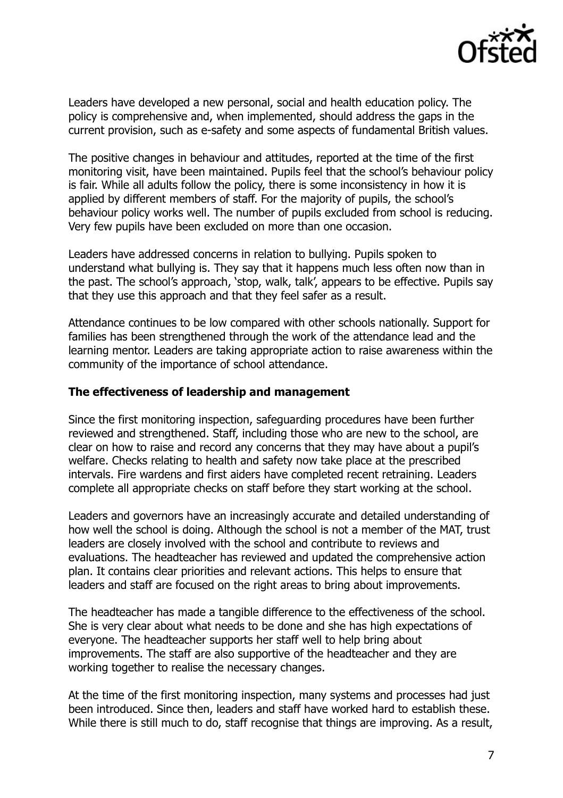

Leaders have developed a new personal, social and health education policy. The policy is comprehensive and, when implemented, should address the gaps in the current provision, such as e-safety and some aspects of fundamental British values.

The positive changes in behaviour and attitudes, reported at the time of the first monitoring visit, have been maintained. Pupils feel that the school's behaviour policy is fair. While all adults follow the policy, there is some inconsistency in how it is applied by different members of staff. For the majority of pupils, the school's behaviour policy works well. The number of pupils excluded from school is reducing. Very few pupils have been excluded on more than one occasion.

Leaders have addressed concerns in relation to bullying. Pupils spoken to understand what bullying is. They say that it happens much less often now than in the past. The school's approach, 'stop, walk, talk', appears to be effective. Pupils say that they use this approach and that they feel safer as a result.

Attendance continues to be low compared with other schools nationally. Support for families has been strengthened through the work of the attendance lead and the learning mentor. Leaders are taking appropriate action to raise awareness within the community of the importance of school attendance.

#### **The effectiveness of leadership and management**

Since the first monitoring inspection, safeguarding procedures have been further reviewed and strengthened. Staff, including those who are new to the school, are clear on how to raise and record any concerns that they may have about a pupil's welfare. Checks relating to health and safety now take place at the prescribed intervals. Fire wardens and first aiders have completed recent retraining. Leaders complete all appropriate checks on staff before they start working at the school.

Leaders and governors have an increasingly accurate and detailed understanding of how well the school is doing. Although the school is not a member of the MAT, trust leaders are closely involved with the school and contribute to reviews and evaluations. The headteacher has reviewed and updated the comprehensive action plan. It contains clear priorities and relevant actions. This helps to ensure that leaders and staff are focused on the right areas to bring about improvements.

The headteacher has made a tangible difference to the effectiveness of the school. She is very clear about what needs to be done and she has high expectations of everyone. The headteacher supports her staff well to help bring about improvements. The staff are also supportive of the headteacher and they are working together to realise the necessary changes.

At the time of the first monitoring inspection, many systems and processes had just been introduced. Since then, leaders and staff have worked hard to establish these. While there is still much to do, staff recognise that things are improving. As a result,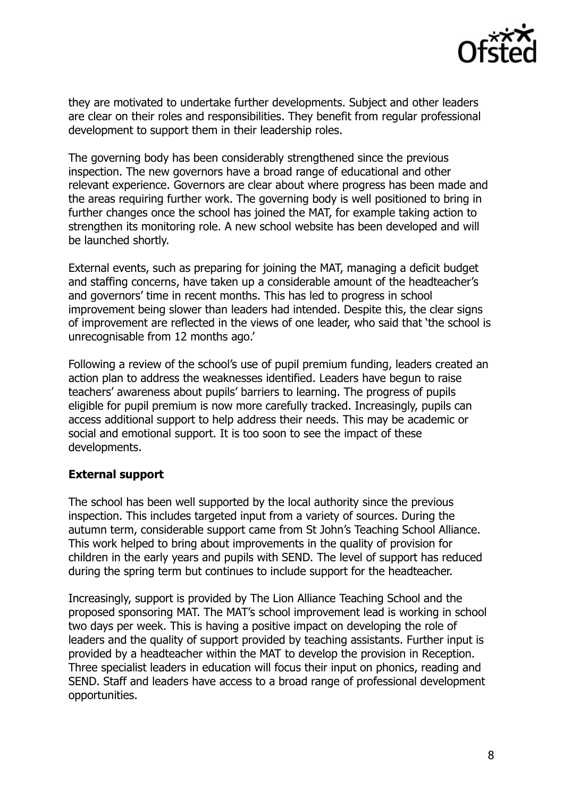

they are motivated to undertake further developments. Subject and other leaders are clear on their roles and responsibilities. They benefit from regular professional development to support them in their leadership roles.

The governing body has been considerably strengthened since the previous inspection. The new governors have a broad range of educational and other relevant experience. Governors are clear about where progress has been made and the areas requiring further work. The governing body is well positioned to bring in further changes once the school has joined the MAT, for example taking action to strengthen its monitoring role. A new school website has been developed and will be launched shortly.

External events, such as preparing for joining the MAT, managing a deficit budget and staffing concerns, have taken up a considerable amount of the headteacher's and governors' time in recent months. This has led to progress in school improvement being slower than leaders had intended. Despite this, the clear signs of improvement are reflected in the views of one leader, who said that 'the school is unrecognisable from 12 months ago.'

Following a review of the school's use of pupil premium funding, leaders created an action plan to address the weaknesses identified. Leaders have begun to raise teachers' awareness about pupils' barriers to learning. The progress of pupils eligible for pupil premium is now more carefully tracked. Increasingly, pupils can access additional support to help address their needs. This may be academic or social and emotional support. It is too soon to see the impact of these developments.

# **External support**

The school has been well supported by the local authority since the previous inspection. This includes targeted input from a variety of sources. During the autumn term, considerable support came from St John's Teaching School Alliance. This work helped to bring about improvements in the quality of provision for children in the early years and pupils with SEND. The level of support has reduced during the spring term but continues to include support for the headteacher.

Increasingly, support is provided by The Lion Alliance Teaching School and the proposed sponsoring MAT. The MAT's school improvement lead is working in school two days per week. This is having a positive impact on developing the role of leaders and the quality of support provided by teaching assistants. Further input is provided by a headteacher within the MAT to develop the provision in Reception. Three specialist leaders in education will focus their input on phonics, reading and SEND. Staff and leaders have access to a broad range of professional development opportunities.